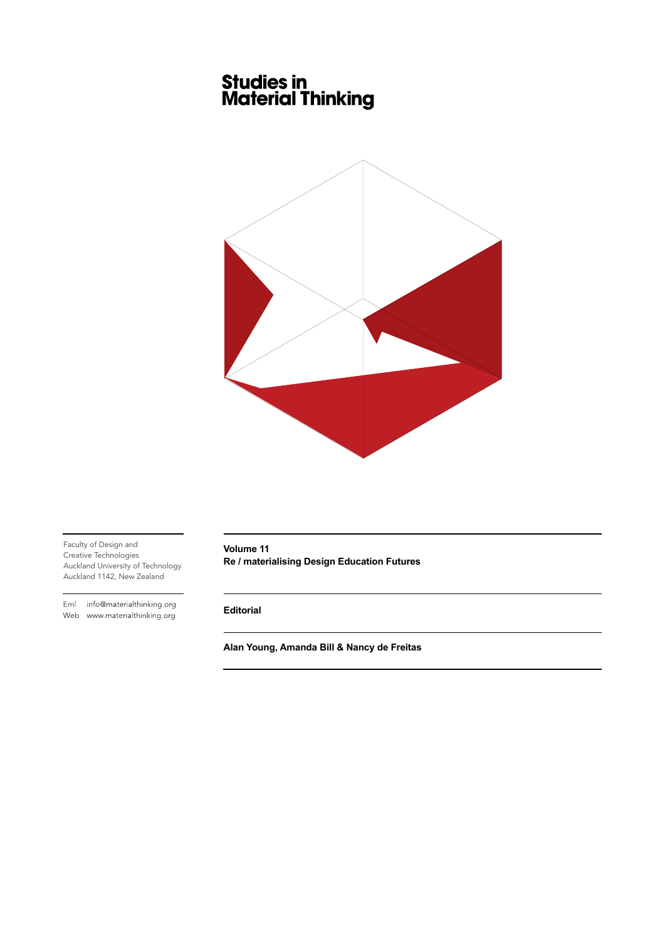# **Studies in<br>Material Thinking**



Faculty of Design and Creative Technologies Auckland University of Technology Auckland 1142, New Zealand

Eml info@materialthinking.org Web www.materialthinking.org

**Volume 11 Re / materialising Design Education Futures**

**Editorial**

**Alan Young, Amanda Bill & Nancy de Freitas**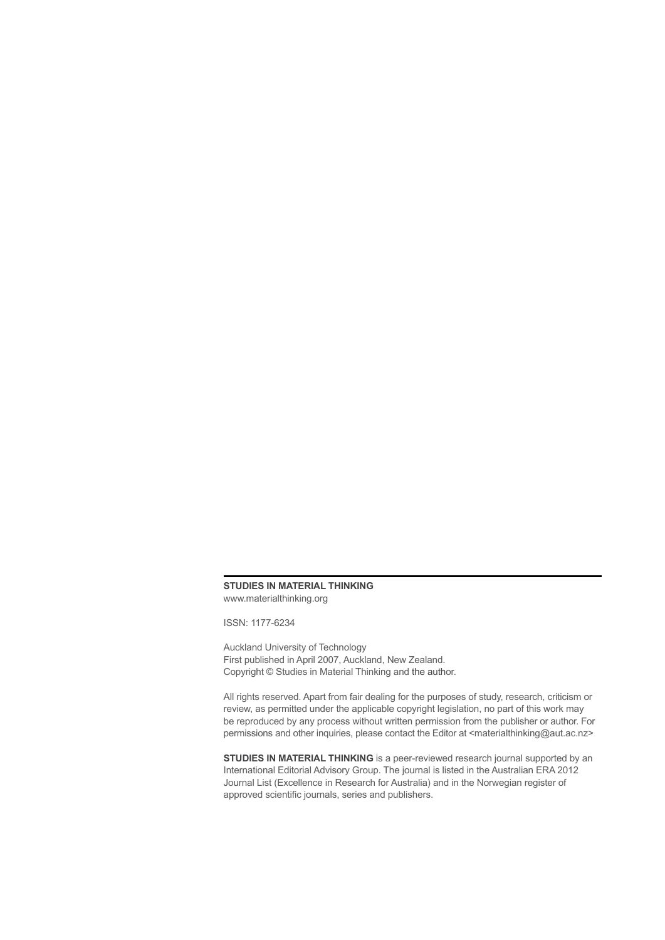### **STUDIES IN MATERIAL THINKING** [www.materialthinking.org](http://www.materialthinking.org)

ISSN: 1177-6234

Auckland University of Technology First published in April 2007, Auckland, New Zealand. Copyright © Studies in Material Thinking and the author.

All rights reserved. Apart from fair dealing for the purposes of study, research, criticism or review, as permitted under the applicable copyright legislation, no part of this work may be reproduced by any process without written permission from the publisher or author. For permissions and other inquiries, please contact the Editor at <[materialthinking@aut.ac.nz>](mailto:materialthinking@aut.ac.nz)

**STUDIES IN MATERIAL THINKING** is a peer-reviewed research journal supported by an International Editorial Advisory Group. The journal is listed in the Australian ERA 2012 Journal List (Excellence in Research for Australia) and in the Norwegian register of approved scientific journals, series and publishers.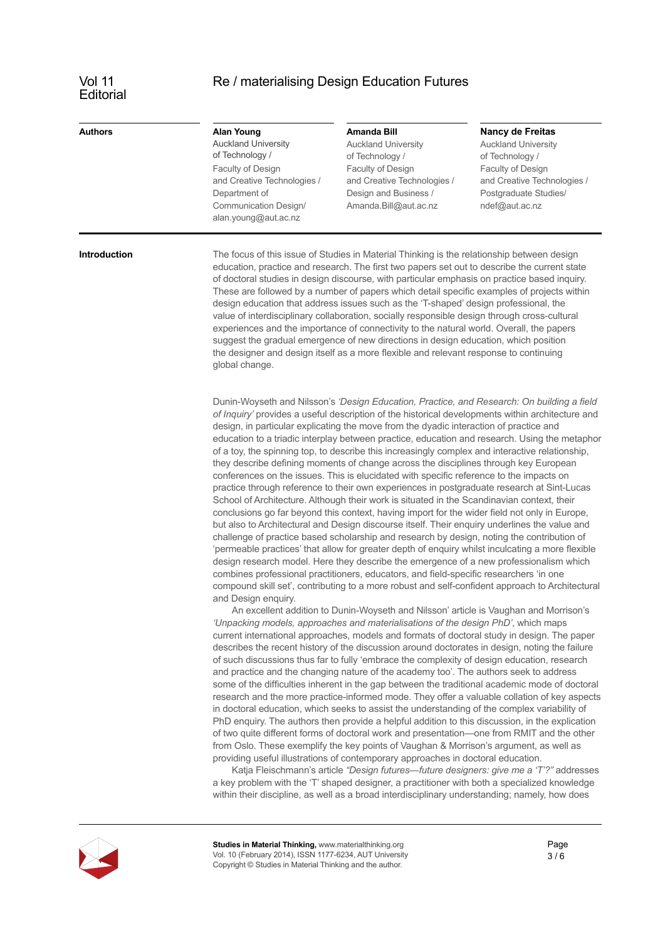# **Editorial**

# Vol 11 Re / materialising Design Education Futures

| <b>Authors</b>      | <b>Alan Young</b><br><b>Auckland University</b><br>of Technology /<br>Faculty of Design<br>and Creative Technologies /<br>Department of<br>Communication Design/<br>alan.young@aut.ac.nz                                                                                                                                                                                                                                                                                                                                                                                                                                                                                                                                                                                                                                                                                       | Amanda Bill<br><b>Auckland University</b><br>of Technology /<br>Faculty of Design<br>and Creative Technologies /<br>Design and Business /<br>Amanda.Bill@aut.ac.nz                                                                                                                                                                                                                                                                                                                                                                                                                                                                                                                                                                                                                                                                                                                                                                                                                                                                                                                                                                                                                                                                                                                                                                                                                                                                                                                                                                              | <b>Nancy de Freitas</b><br><b>Auckland University</b><br>of Technology /<br>Faculty of Design<br>and Creative Technologies /<br>Postgraduate Studies/<br>ndef@aut.ac.nz                                                                                                                                                                                                                            |
|---------------------|--------------------------------------------------------------------------------------------------------------------------------------------------------------------------------------------------------------------------------------------------------------------------------------------------------------------------------------------------------------------------------------------------------------------------------------------------------------------------------------------------------------------------------------------------------------------------------------------------------------------------------------------------------------------------------------------------------------------------------------------------------------------------------------------------------------------------------------------------------------------------------|-------------------------------------------------------------------------------------------------------------------------------------------------------------------------------------------------------------------------------------------------------------------------------------------------------------------------------------------------------------------------------------------------------------------------------------------------------------------------------------------------------------------------------------------------------------------------------------------------------------------------------------------------------------------------------------------------------------------------------------------------------------------------------------------------------------------------------------------------------------------------------------------------------------------------------------------------------------------------------------------------------------------------------------------------------------------------------------------------------------------------------------------------------------------------------------------------------------------------------------------------------------------------------------------------------------------------------------------------------------------------------------------------------------------------------------------------------------------------------------------------------------------------------------------------|----------------------------------------------------------------------------------------------------------------------------------------------------------------------------------------------------------------------------------------------------------------------------------------------------------------------------------------------------------------------------------------------------|
| <b>Introduction</b> | The focus of this issue of Studies in Material Thinking is the relationship between design<br>education, practice and research. The first two papers set out to describe the current state<br>of doctoral studies in design discourse, with particular emphasis on practice based inquiry.<br>These are followed by a number of papers which detail specific examples of projects within<br>design education that address issues such as the 'T-shaped' design professional, the<br>value of interdisciplinary collaboration, socially responsible design through cross-cultural<br>experiences and the importance of connectivity to the natural world. Overall, the papers<br>suggest the gradual emergence of new directions in design education, which position<br>the designer and design itself as a more flexible and relevant response to continuing<br>global change. |                                                                                                                                                                                                                                                                                                                                                                                                                                                                                                                                                                                                                                                                                                                                                                                                                                                                                                                                                                                                                                                                                                                                                                                                                                                                                                                                                                                                                                                                                                                                                 |                                                                                                                                                                                                                                                                                                                                                                                                    |
|                     | and Design enguiry.                                                                                                                                                                                                                                                                                                                                                                                                                                                                                                                                                                                                                                                                                                                                                                                                                                                            | design, in particular explicating the move from the dyadic interaction of practice and<br>of a toy, the spinning top, to describe this increasingly complex and interactive relationship,<br>they describe defining moments of change across the disciplines through key European<br>conferences on the issues. This is elucidated with specific reference to the impacts on<br>practice through reference to their own experiences in postgraduate research at Sint-Lucas<br>School of Architecture. Although their work is situated in the Scandinavian context, their<br>conclusions go far beyond this context, having import for the wider field not only in Europe,<br>but also to Architectural and Design discourse itself. Their enquiry underlines the value and<br>challenge of practice based scholarship and research by design, noting the contribution of<br>'permeable practices' that allow for greater depth of enquiry whilst inculcating a more flexible<br>design research model. Here they describe the emergence of a new professionalism which<br>combines professional practitioners, educators, and field-specific researchers 'in one<br>An excellent addition to Dunin-Woyseth and Nilsson' article is Vaughan and Morrison's<br>'Unpacking models, approaches and materialisations of the design PhD', which maps<br>current international approaches, models and formats of doctoral study in design. The paper<br>describes the recent history of the discussion around doctorates in design, noting the failure | Dunin-Woyseth and Nilsson's 'Design Education, Practice, and Research: On building a field<br>of Inquiry' provides a useful description of the historical developments within architecture and<br>education to a triadic interplay between practice, education and research. Using the metaphor<br>compound skill set', contributing to a more robust and self-confident approach to Architectural |
|                     |                                                                                                                                                                                                                                                                                                                                                                                                                                                                                                                                                                                                                                                                                                                                                                                                                                                                                | of such discussions thus far to fully 'embrace the complexity of design education, research<br>and practice and the changing nature of the academy too'. The authors seek to address<br>in doctoral education, which seeks to assist the understanding of the complex variability of<br>PhD enquiry. The authors then provide a helpful addition to this discussion, in the explication                                                                                                                                                                                                                                                                                                                                                                                                                                                                                                                                                                                                                                                                                                                                                                                                                                                                                                                                                                                                                                                                                                                                                         | some of the difficulties inherent in the gap between the traditional academic mode of doctoral<br>research and the more practice-informed mode. They offer a valuable collation of key aspects                                                                                                                                                                                                     |

from Oslo. These exemplify the key points of Vaughan & Morrison's argument, as well as providing useful illustrations of contemporary approaches in doctoral education. Katja Fleischmann's article *["Design futures—future designers: give me a 'T'?"](https://www.materialthinking.org/papers/160)* addresses a key problem with the 'T' shaped designer, a practitioner with both a specialized knowledge

within their discipline, as well as a broad interdisciplinary understanding; namely, how does

of two quite different forms of doctoral work and presentation—one from RMIT and the other

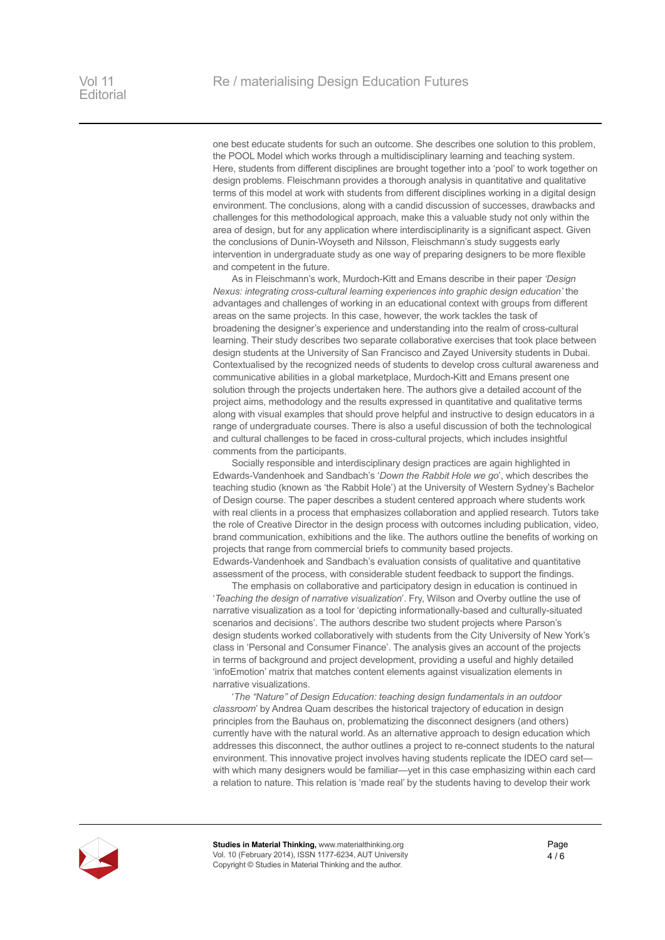one best educate students for such an outcome. She describes one solution to this problem, the POOL Model which works through a multidisciplinary learning and teaching system. Here, students from different disciplines are brought together into a 'pool' to work together on design problems. Fleischmann provides a thorough analysis in quantitative and qualitative terms of this model at work with students from different disciplines working in a digital design environment. The conclusions, along with a candid discussion of successes, drawbacks and challenges for this methodological approach, make this a valuable study not only within the area of design, but for any application where interdisciplinarity is a significant aspect. Given the conclusions of Dunin-Woyseth and Nilsson, Fleischmann's study suggests early intervention in undergraduate study as one way of preparing designers to be more flexible and competent in the future.

As in Fleischmann's work, Murdoch-Kitt and Emans describe in their paper *['Design](https://www.materialthinking.org/papers/161)  [Nexus: integrating cross-cultural learning experiences into graphic design education'](https://www.materialthinking.org/papers/161)* the advantages and challenges of working in an educational context with groups from different areas on the same projects. In this case, however, the work tackles the task of broadening the designer's experience and understanding into the realm of cross-cultural learning. Their study describes two separate collaborative exercises that took place between design students at the University of San Francisco and Zayed University students in Dubai. Contextualised by the recognized needs of students to develop cross cultural awareness and communicative abilities in a global marketplace, Murdoch-Kitt and Emans present one solution through the projects undertaken here. The authors give a detailed account of the project aims, methodology and the results expressed in quantitative and qualitative terms along with visual examples that should prove helpful and instructive to design educators in a range of undergraduate courses. There is also a useful discussion of both the technological and cultural challenges to be faced in cross-cultural projects, which includes insightful comments from the participants.

Socially responsible and interdisciplinary design practices are again highlighted in Edwards-Vandenhoek and Sandbach's '*[Down the Rabbit Hole we go](https://www.materialthinking.org/papers/162)*', which describes the teaching studio (known as 'the Rabbit Hole') at the University of Western Sydney's Bachelor of Design course. The paper describes a student centered approach where students work with real clients in a process that emphasizes collaboration and applied research. Tutors take the role of Creative Director in the design process with outcomes including publication, video, brand communication, exhibitions and the like. The authors outline the benefits of working on projects that range from commercial briefs to community based projects. Edwards-Vandenhoek and Sandbach's evaluation consists of qualitative and quantitative assessment of the process, with considerable student feedback to support the findings.

The emphasis on collaborative and participatory design in education is continued in '*[Teaching the design of narrative visualization](https://www.materialthinking.org/papers/163)*'. Fry, Wilson and Overby outline the use of narrative visualization as a tool for 'depicting informationally-based and culturally-situated scenarios and decisions'. The authors describe two student projects where Parson's design students worked collaboratively with students from the City University of New York's class in 'Personal and Consumer Finance'. The analysis gives an account of the projects in terms of background and project development, providing a useful and highly detailed 'infoEmotion' matrix that matches content elements against visualization elements in narrative visualizations.

'*[The "Nature" of Design Education: teaching design fundamentals in an outdoor](https://www.materialthinking.org/papers/164)  [classroom](https://www.materialthinking.org/papers/164)*' by Andrea Quam describes the historical trajectory of education in design principles from the Bauhaus on, problematizing the disconnect designers (and others) currently have with the natural world. As an alternative approach to design education which addresses this disconnect, the author outlines a project to re-connect students to the natural environment. This innovative project involves having students replicate the IDEO card set with which many designers would be familiar—yet in this case emphasizing within each card a relation to nature. This relation is 'made real' by the students having to develop their work



**Studies in Material Thinking,** [www.materialthinking.org](http://www.materialthinking.org) Vol. 10 (February 2014), ISSN 1177-6234, AUT University Copyright © Studies in Material Thinking and the author.

Page 4 / 6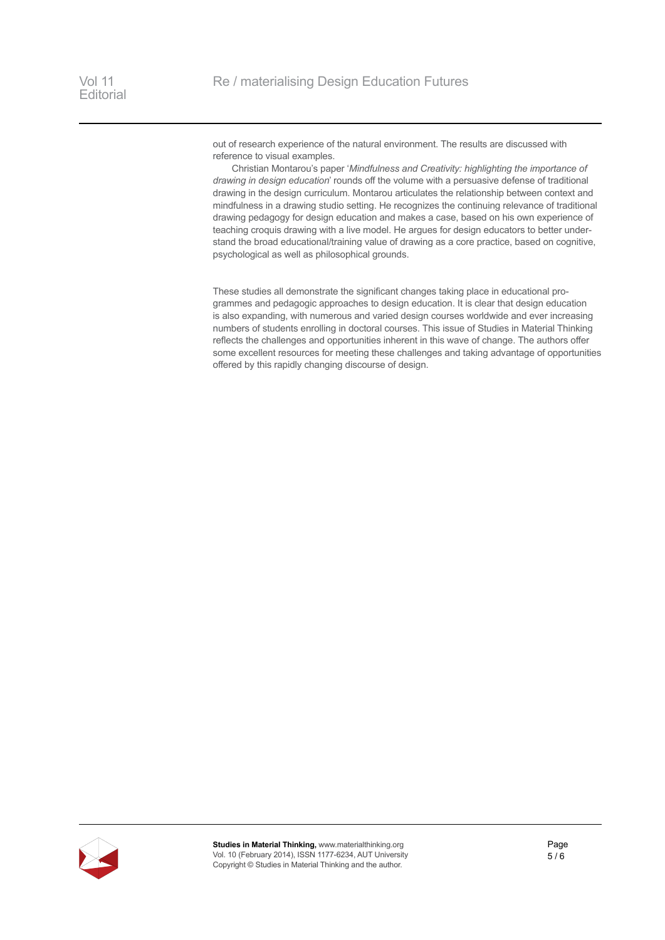out of research experience of the natural environment. The results are discussed with reference to visual examples.

Christian Montarou's paper '*[Mindfulness and Creativity: highlighting the importance of](https://www.materialthinking.org/papers/165)  [drawing in design education](https://www.materialthinking.org/papers/165)*' rounds off the volume with a persuasive defense of traditional drawing in the design curriculum. Montarou articulates the relationship between context and mindfulness in a drawing studio setting. He recognizes the continuing relevance of traditional drawing pedagogy for design education and makes a case, based on his own experience of teaching croquis drawing with a live model. He argues for design educators to better understand the broad educational/training value of drawing as a core practice, based on cognitive, psychological as well as philosophical grounds.

These studies all demonstrate the significant changes taking place in educational programmes and pedagogic approaches to design education. It is clear that design education is also expanding, with numerous and varied design courses worldwide and ever increasing numbers of students enrolling in doctoral courses. This issue of Studies in Material Thinking reflects the challenges and opportunities inherent in this wave of change. The authors offer some excellent resources for meeting these challenges and taking advantage of opportunities offered by this rapidly changing discourse of design.